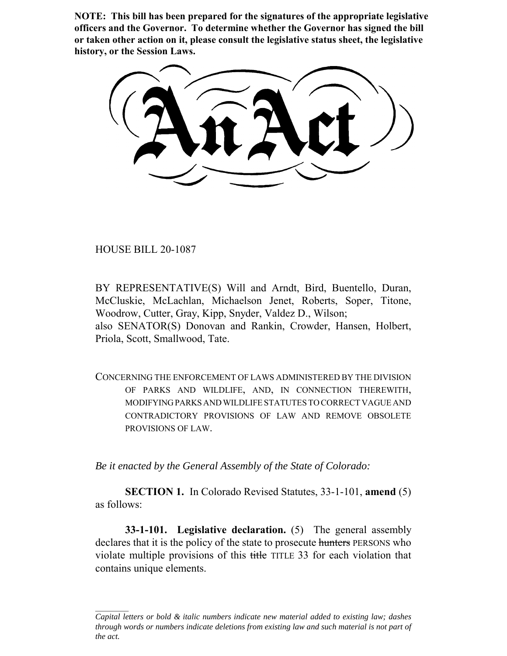**NOTE: This bill has been prepared for the signatures of the appropriate legislative officers and the Governor. To determine whether the Governor has signed the bill or taken other action on it, please consult the legislative status sheet, the legislative history, or the Session Laws.**

HOUSE BILL 20-1087

BY REPRESENTATIVE(S) Will and Arndt, Bird, Buentello, Duran, McCluskie, McLachlan, Michaelson Jenet, Roberts, Soper, Titone, Woodrow, Cutter, Gray, Kipp, Snyder, Valdez D., Wilson; also SENATOR(S) Donovan and Rankin, Crowder, Hansen, Holbert, Priola, Scott, Smallwood, Tate.

CONCERNING THE ENFORCEMENT OF LAWS ADMINISTERED BY THE DIVISION OF PARKS AND WILDLIFE, AND, IN CONNECTION THEREWITH, MODIFYING PARKS AND WILDLIFE STATUTES TO CORRECT VAGUE AND CONTRADICTORY PROVISIONS OF LAW AND REMOVE OBSOLETE PROVISIONS OF LAW.

*Be it enacted by the General Assembly of the State of Colorado:*

**SECTION 1.** In Colorado Revised Statutes, 33-1-101, **amend** (5) as follows:

**33-1-101. Legislative declaration.** (5) The general assembly declares that it is the policy of the state to prosecute hunters PERSONS who violate multiple provisions of this title TITLE 33 for each violation that contains unique elements.

*Capital letters or bold & italic numbers indicate new material added to existing law; dashes through words or numbers indicate deletions from existing law and such material is not part of the act.*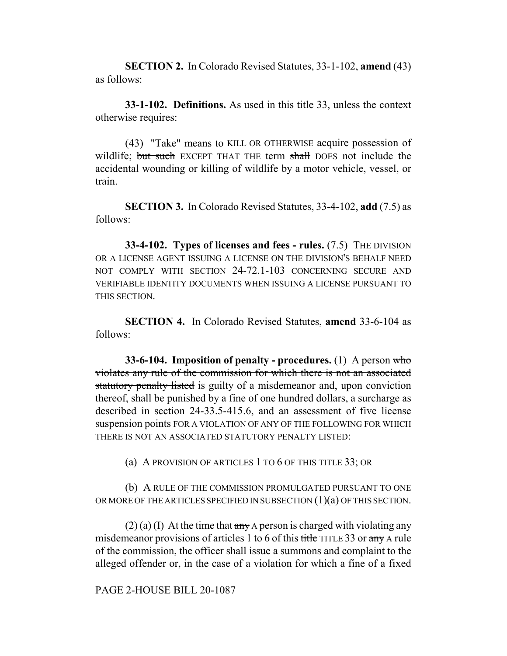**SECTION 2.** In Colorado Revised Statutes, 33-1-102, **amend** (43) as follows:

**33-1-102. Definitions.** As used in this title 33, unless the context otherwise requires:

(43) "Take" means to KILL OR OTHERWISE acquire possession of wildlife; but such EXCEPT THAT THE term shall DOES not include the accidental wounding or killing of wildlife by a motor vehicle, vessel, or train.

**SECTION 3.** In Colorado Revised Statutes, 33-4-102, **add** (7.5) as follows:

**33-4-102. Types of licenses and fees - rules.** (7.5) THE DIVISION OR A LICENSE AGENT ISSUING A LICENSE ON THE DIVISION'S BEHALF NEED NOT COMPLY WITH SECTION 24-72.1-103 CONCERNING SECURE AND VERIFIABLE IDENTITY DOCUMENTS WHEN ISSUING A LICENSE PURSUANT TO THIS SECTION.

**SECTION 4.** In Colorado Revised Statutes, **amend** 33-6-104 as follows:

**33-6-104. Imposition of penalty - procedures.** (1) A person who violates any rule of the commission for which there is not an associated statutory penalty listed is guilty of a misdemeanor and, upon conviction thereof, shall be punished by a fine of one hundred dollars, a surcharge as described in section 24-33.5-415.6, and an assessment of five license suspension points FOR A VIOLATION OF ANY OF THE FOLLOWING FOR WHICH THERE IS NOT AN ASSOCIATED STATUTORY PENALTY LISTED:

(a) A PROVISION OF ARTICLES 1 TO 6 OF THIS TITLE 33; OR

(b) A RULE OF THE COMMISSION PROMULGATED PURSUANT TO ONE OR MORE OF THE ARTICLES SPECIFIED IN SUBSECTION  $(1)(a)$  OF THIS SECTION.

 $(2)$  (a) (I) At the time that any A person is charged with violating any misdemeanor provisions of articles 1 to 6 of this title TITLE 33 or any A rule of the commission, the officer shall issue a summons and complaint to the alleged offender or, in the case of a violation for which a fine of a fixed

PAGE 2-HOUSE BILL 20-1087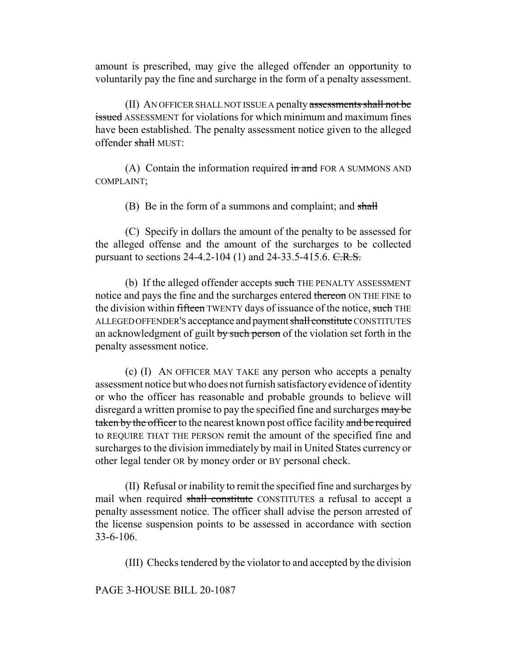amount is prescribed, may give the alleged offender an opportunity to voluntarily pay the fine and surcharge in the form of a penalty assessment.

(II) AN OFFICER SHALL NOT ISSUE A penalty assessments shall not be issued ASSESSMENT for violations for which minimum and maximum fines have been established. The penalty assessment notice given to the alleged offender shall MUST:

(A) Contain the information required  $\overline{m}$  and FOR A SUMMONS AND COMPLAINT;

(B) Be in the form of a summons and complaint; and shall

(C) Specify in dollars the amount of the penalty to be assessed for the alleged offense and the amount of the surcharges to be collected pursuant to sections  $24-4.2-104$  (1) and  $24-33.5-415.6$ . C.R.S.

(b) If the alleged offender accepts such THE PENALTY ASSESSMENT notice and pays the fine and the surcharges entered thereon ON THE FINE to the division within fifteen TWENTY days of issuance of the notice, such THE ALLEGED OFFENDER'S acceptance and payment shall constitute CONSTITUTES an acknowledgment of guilt by such person of the violation set forth in the penalty assessment notice.

(c) (I) AN OFFICER MAY TAKE any person who accepts a penalty assessment notice but who does not furnish satisfactory evidence of identity or who the officer has reasonable and probable grounds to believe will disregard a written promise to pay the specified fine and surcharges may be taken by the officer to the nearest known post office facility and be required to REQUIRE THAT THE PERSON remit the amount of the specified fine and surcharges to the division immediately by mail in United States currency or other legal tender OR by money order or BY personal check.

(II) Refusal or inability to remit the specified fine and surcharges by mail when required shall constitute CONSTITUTES a refusal to accept a penalty assessment notice. The officer shall advise the person arrested of the license suspension points to be assessed in accordance with section 33-6-106.

(III) Checks tendered by the violator to and accepted by the division

PAGE 3-HOUSE BILL 20-1087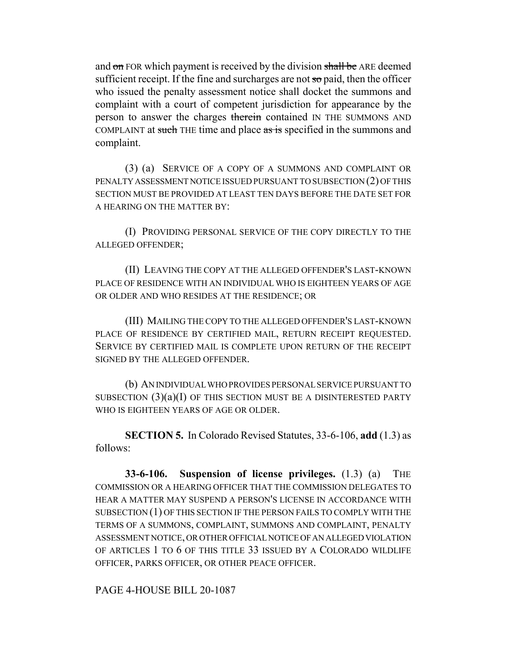and on FOR which payment is received by the division shall be ARE deemed sufficient receipt. If the fine and surcharges are not  $\pi$  paid, then the officer who issued the penalty assessment notice shall docket the summons and complaint with a court of competent jurisdiction for appearance by the person to answer the charges therein contained IN THE SUMMONS AND COMPLAINT at such THE time and place as is specified in the summons and complaint.

(3) (a) SERVICE OF A COPY OF A SUMMONS AND COMPLAINT OR PENALTY ASSESSMENT NOTICE ISSUED PURSUANT TO SUBSECTION (2) OF THIS SECTION MUST BE PROVIDED AT LEAST TEN DAYS BEFORE THE DATE SET FOR A HEARING ON THE MATTER BY:

(I) PROVIDING PERSONAL SERVICE OF THE COPY DIRECTLY TO THE ALLEGED OFFENDER;

(II) LEAVING THE COPY AT THE ALLEGED OFFENDER'S LAST-KNOWN PLACE OF RESIDENCE WITH AN INDIVIDUAL WHO IS EIGHTEEN YEARS OF AGE OR OLDER AND WHO RESIDES AT THE RESIDENCE; OR

(III) MAILING THE COPY TO THE ALLEGED OFFENDER'S LAST-KNOWN PLACE OF RESIDENCE BY CERTIFIED MAIL, RETURN RECEIPT REQUESTED. SERVICE BY CERTIFIED MAIL IS COMPLETE UPON RETURN OF THE RECEIPT SIGNED BY THE ALLEGED OFFENDER.

(b) AN INDIVIDUAL WHO PROVIDES PERSONAL SERVICE PURSUANT TO SUBSECTION  $(3)(a)(I)$  OF THIS SECTION MUST BE A DISINTERESTED PARTY WHO IS EIGHTEEN YEARS OF AGE OR OLDER.

**SECTION 5.** In Colorado Revised Statutes, 33-6-106, **add** (1.3) as follows:

**33-6-106. Suspension of license privileges.** (1.3) (a) THE COMMISSION OR A HEARING OFFICER THAT THE COMMISSION DELEGATES TO HEAR A MATTER MAY SUSPEND A PERSON'S LICENSE IN ACCORDANCE WITH SUBSECTION (1) OF THIS SECTION IF THE PERSON FAILS TO COMPLY WITH THE TERMS OF A SUMMONS, COMPLAINT, SUMMONS AND COMPLAINT, PENALTY ASSESSMENT NOTICE, OR OTHER OFFICIAL NOTICE OF AN ALLEGED VIOLATION OF ARTICLES 1 TO 6 OF THIS TITLE 33 ISSUED BY A COLORADO WILDLIFE OFFICER, PARKS OFFICER, OR OTHER PEACE OFFICER.

PAGE 4-HOUSE BILL 20-1087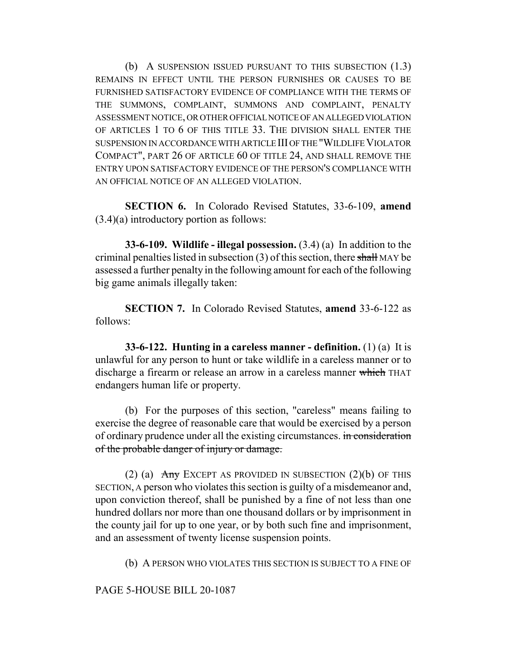(b) A SUSPENSION ISSUED PURSUANT TO THIS SUBSECTION (1.3) REMAINS IN EFFECT UNTIL THE PERSON FURNISHES OR CAUSES TO BE FURNISHED SATISFACTORY EVIDENCE OF COMPLIANCE WITH THE TERMS OF THE SUMMONS, COMPLAINT, SUMMONS AND COMPLAINT, PENALTY ASSESSMENT NOTICE, OR OTHER OFFICIAL NOTICE OF AN ALLEGED VIOLATION OF ARTICLES 1 TO 6 OF THIS TITLE 33. THE DIVISION SHALL ENTER THE SUSPENSION IN ACCORDANCE WITH ARTICLE III OF THE "WILDLIFE VIOLATOR COMPACT", PART 26 OF ARTICLE 60 OF TITLE 24, AND SHALL REMOVE THE ENTRY UPON SATISFACTORY EVIDENCE OF THE PERSON'S COMPLIANCE WITH AN OFFICIAL NOTICE OF AN ALLEGED VIOLATION.

**SECTION 6.** In Colorado Revised Statutes, 33-6-109, **amend** (3.4)(a) introductory portion as follows:

**33-6-109. Wildlife - illegal possession.** (3.4) (a) In addition to the criminal penalties listed in subsection  $(3)$  of this section, there shall MAY be assessed a further penalty in the following amount for each of the following big game animals illegally taken:

**SECTION 7.** In Colorado Revised Statutes, **amend** 33-6-122 as follows:

**33-6-122. Hunting in a careless manner - definition.** (1) (a) It is unlawful for any person to hunt or take wildlife in a careless manner or to discharge a firearm or release an arrow in a careless manner which THAT endangers human life or property.

(b) For the purposes of this section, "careless" means failing to exercise the degree of reasonable care that would be exercised by a person of ordinary prudence under all the existing circumstances. in consideration of the probable danger of injury or damage.

(2) (a)  $\overline{Any}$  EXCEPT AS PROVIDED IN SUBSECTION (2)(b) OF THIS SECTION, A person who violates this section is guilty of a misdemeanor and, upon conviction thereof, shall be punished by a fine of not less than one hundred dollars nor more than one thousand dollars or by imprisonment in the county jail for up to one year, or by both such fine and imprisonment, and an assessment of twenty license suspension points.

(b) A PERSON WHO VIOLATES THIS SECTION IS SUBJECT TO A FINE OF

PAGE 5-HOUSE BILL 20-1087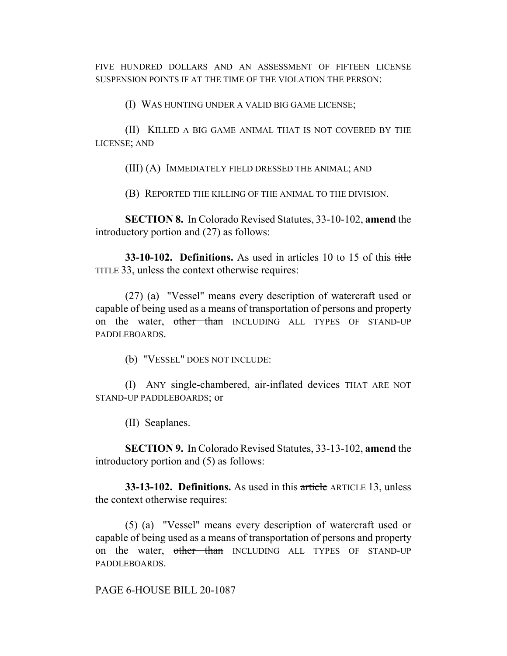FIVE HUNDRED DOLLARS AND AN ASSESSMENT OF FIFTEEN LICENSE SUSPENSION POINTS IF AT THE TIME OF THE VIOLATION THE PERSON:

(I) WAS HUNTING UNDER A VALID BIG GAME LICENSE;

(II) KILLED A BIG GAME ANIMAL THAT IS NOT COVERED BY THE LICENSE; AND

(III) (A) IMMEDIATELY FIELD DRESSED THE ANIMAL; AND

(B) REPORTED THE KILLING OF THE ANIMAL TO THE DIVISION.

**SECTION 8.** In Colorado Revised Statutes, 33-10-102, **amend** the introductory portion and (27) as follows:

**33-10-102. Definitions.** As used in articles 10 to 15 of this title TITLE 33, unless the context otherwise requires:

(27) (a) "Vessel" means every description of watercraft used or capable of being used as a means of transportation of persons and property on the water, other than INCLUDING ALL TYPES OF STAND-UP PADDLEBOARDS.

(b) "VESSEL" DOES NOT INCLUDE:

(I) ANY single-chambered, air-inflated devices THAT ARE NOT STAND-UP PADDLEBOARDS; or

(II) Seaplanes.

**SECTION 9.** In Colorado Revised Statutes, 33-13-102, **amend** the introductory portion and (5) as follows:

**33-13-102. Definitions.** As used in this article ARTICLE 13, unless the context otherwise requires:

(5) (a) "Vessel" means every description of watercraft used or capable of being used as a means of transportation of persons and property on the water, other than INCLUDING ALL TYPES OF STAND-UP PADDLEBOARDS.

PAGE 6-HOUSE BILL 20-1087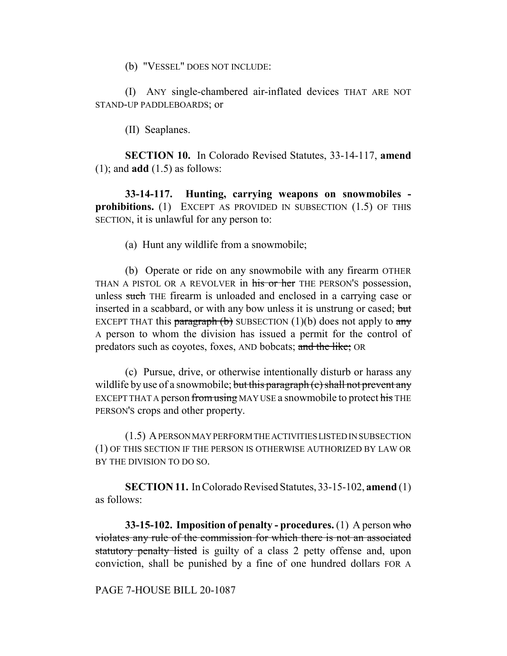(b) "VESSEL" DOES NOT INCLUDE:

(I) ANY single-chambered air-inflated devices THAT ARE NOT STAND-UP PADDLEBOARDS; or

(II) Seaplanes.

**SECTION 10.** In Colorado Revised Statutes, 33-14-117, **amend** (1); and **add** (1.5) as follows:

**33-14-117. Hunting, carrying weapons on snowmobiles prohibitions.** (1) EXCEPT AS PROVIDED IN SUBSECTION (1.5) OF THIS SECTION, it is unlawful for any person to:

(a) Hunt any wildlife from a snowmobile;

(b) Operate or ride on any snowmobile with any firearm OTHER THAN A PISTOL OR A REVOLVER in his or her THE PERSON'S possession, unless such THE firearm is unloaded and enclosed in a carrying case or inserted in a scabbard, or with any bow unless it is unstrung or cased; but EXCEPT THAT this paragraph (b) SUBSECTION (1)(b) does not apply to  $\frac{any}{ }$ A person to whom the division has issued a permit for the control of predators such as coyotes, foxes, AND bobcats; and the like; OR

(c) Pursue, drive, or otherwise intentionally disturb or harass any wildlife by use of a snowmobile; but this paragraph (c) shall not prevent any EXCEPT THAT A person from using MAY USE a snowmobile to protect his THE PERSON'S crops and other property.

(1.5) A PERSON MAY PERFORM THE ACTIVITIES LISTED IN SUBSECTION (1) OF THIS SECTION IF THE PERSON IS OTHERWISE AUTHORIZED BY LAW OR BY THE DIVISION TO DO SO.

**SECTION 11.** In Colorado Revised Statutes, 33-15-102, **amend** (1) as follows:

**33-15-102. Imposition of penalty - procedures.** (1) A person who violates any rule of the commission for which there is not an associated statutory penalty listed is guilty of a class 2 petty offense and, upon conviction, shall be punished by a fine of one hundred dollars FOR A

PAGE 7-HOUSE BILL 20-1087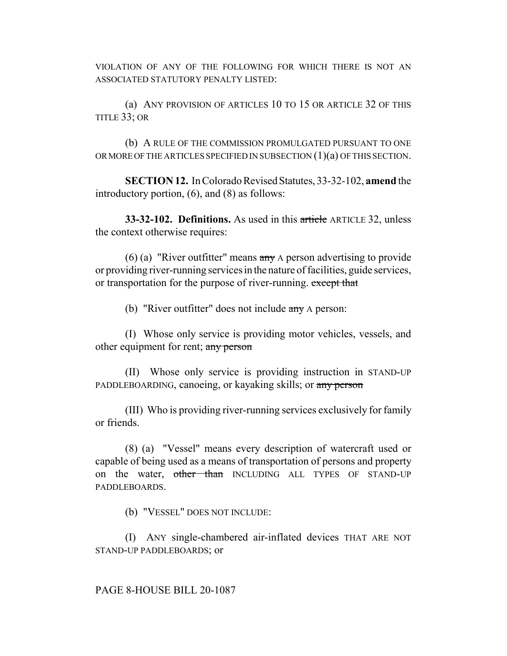VIOLATION OF ANY OF THE FOLLOWING FOR WHICH THERE IS NOT AN ASSOCIATED STATUTORY PENALTY LISTED:

(a) ANY PROVISION OF ARTICLES 10 TO 15 OR ARTICLE 32 OF THIS TITLE 33; OR

(b) A RULE OF THE COMMISSION PROMULGATED PURSUANT TO ONE OR MORE OF THE ARTICLES SPECIFIED IN SUBSECTION  $(1)(a)$  OF THIS SECTION.

**SECTION 12.** In Colorado Revised Statutes, 33-32-102, **amend** the introductory portion, (6), and (8) as follows:

**33-32-102. Definitions.** As used in this article ARTICLE 32, unless the context otherwise requires:

(6) (a) "River outfitter" means  $\frac{\partial f}{\partial x}$  A person advertising to provide or providing river-running services in the nature of facilities, guide services, or transportation for the purpose of river-running. except that

(b) "River outfitter" does not include  $\frac{any}{any}$  A person:

(I) Whose only service is providing motor vehicles, vessels, and other equipment for rent; any person

(II) Whose only service is providing instruction in STAND-UP PADDLEBOARDING, canoeing, or kayaking skills; or any person

(III) Who is providing river-running services exclusively for family or friends.

(8) (a) "Vessel" means every description of watercraft used or capable of being used as a means of transportation of persons and property on the water, other than INCLUDING ALL TYPES OF STAND-UP PADDLEBOARDS.

(b) "VESSEL" DOES NOT INCLUDE:

(I) ANY single-chambered air-inflated devices THAT ARE NOT STAND-UP PADDLEBOARDS; or

## PAGE 8-HOUSE BILL 20-1087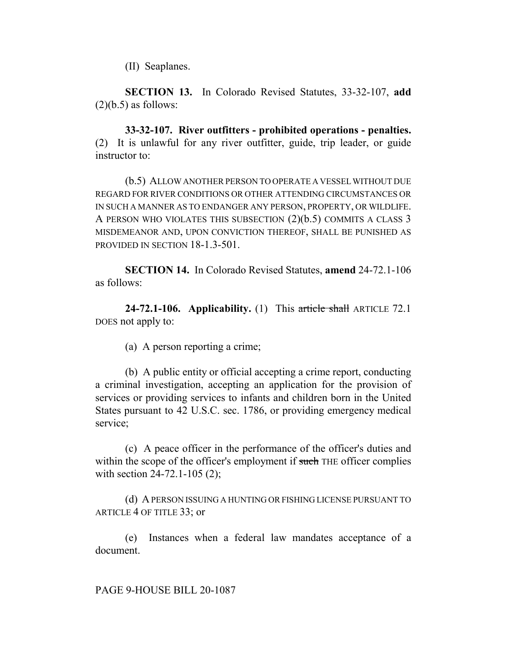(II) Seaplanes.

**SECTION 13.** In Colorado Revised Statutes, 33-32-107, **add**  $(2)(b.5)$  as follows:

**33-32-107. River outfitters - prohibited operations - penalties.** (2) It is unlawful for any river outfitter, guide, trip leader, or guide instructor to:

(b.5) ALLOW ANOTHER PERSON TO OPERATE A VESSEL WITHOUT DUE REGARD FOR RIVER CONDITIONS OR OTHER ATTENDING CIRCUMSTANCES OR IN SUCH A MANNER AS TO ENDANGER ANY PERSON, PROPERTY, OR WILDLIFE. A PERSON WHO VIOLATES THIS SUBSECTION (2)(b.5) COMMITS A CLASS 3 MISDEMEANOR AND, UPON CONVICTION THEREOF, SHALL BE PUNISHED AS PROVIDED IN SECTION 18-1.3-501.

**SECTION 14.** In Colorado Revised Statutes, **amend** 24-72.1-106 as follows:

**24-72.1-106. Applicability.** (1) This article shall ARTICLE 72.1 DOES not apply to:

(a) A person reporting a crime;

(b) A public entity or official accepting a crime report, conducting a criminal investigation, accepting an application for the provision of services or providing services to infants and children born in the United States pursuant to 42 U.S.C. sec. 1786, or providing emergency medical service;

(c) A peace officer in the performance of the officer's duties and within the scope of the officer's employment if such THE officer complies with section 24-72.1-105 (2);

(d) A PERSON ISSUING A HUNTING OR FISHING LICENSE PURSUANT TO ARTICLE 4 OF TITLE 33; or

(e) Instances when a federal law mandates acceptance of a document.

PAGE 9-HOUSE BILL 20-1087